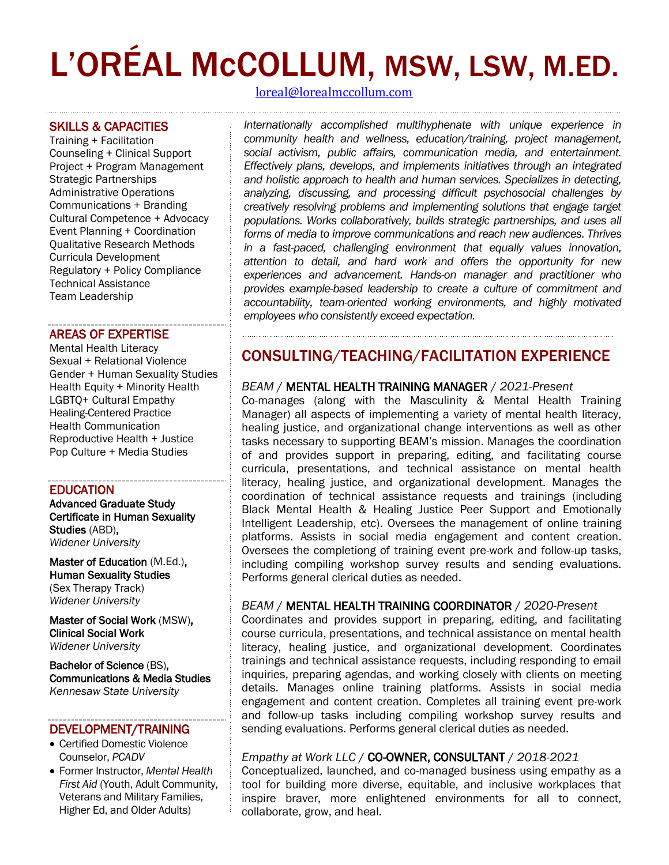# L'ORÉAL McCOLLUM, MSW, LSW, M.ED.

#### SKILLS & CAPACITIES

Training + Facilitation Counseling + Clinical Support Project + Program Management Strategic Partnerships Administrative Operations Communications + Branding Cultural Competence + Advocacy Event Planning + Coordination Qualitative Research Methods Curricula Development Regulatory + Policy Compliance Technical Assistance Team Leadership

#### AREAS OF EXPERTISE

Mental Health Literacy Sexual + Relational Violence Gender + Human Sexuality Studies Health Equity + Minority Health LGBTQ+ Cultural Empathy Healing-Centered Practice Health Communication Reproductive Health + Justice Pop Culture + Media Studies

#### EDUCATION

Advanced Graduate Study Certificate in Human Sexuality Studies (ABD), *Widener University*

Master of Education (M.Ed.), Human Sexuality Studies (Sex Therapy Track) *Widener University*

Master of Social Work (MSW), Clinical Social Work *Widener University*

Bachelor of Science (BS), Communications & Media Studies *Kennesaw State University*

#### DEVELOPMENT/TRAINING

- Certified Domestic Violence Counselor, *PCADV*
- Former Instructor, *Mental Health First Aid* (Youth, Adult Community, Veterans and Military Families, Higher Ed, and Older Adults)

[loreal@lorealmccollum.com](mailto:loreal@lorealmccollum.com) 

*Internationally accomplished multihyphenate with unique experience in community health and wellness, education/training, project management, social activism, public affairs, communication media, and entertainment. Effectively plans, develops, and implements initiatives through an integrated and holistic approach to health and human services. Specializes in detecting, analyzing, discussing, and processing difficult psychosocial challenges by creatively resolving problems and implementing solutions that engage target populations. Works collaboratively, builds strategic partnerships, and uses all forms of media to improve communications and reach new audiences. Thrives in a fast-paced, challenging environment that equally values innovation, attention to detail, and hard work and offers the opportunity for new experiences and advancement. Hands-on manager and practitioner who provides example-based leadership to create a culture of commitment and accountability, team-oriented working environments, and highly motivated employees who consistently exceed expectation.*

## CONSULTING/TEACHING/FACILITATION EXPERIENCE

#### *BEAM* / MENTAL HEALTH TRAINING MANAGER / *2021-Present*

Co-manages (along with the Masculinity & Mental Health Training Manager) all aspects of implementing a variety of mental health literacy, healing justice, and organizational change interventions as well as other tasks necessary to supporting BEAM's mission. Manages the coordination of and provides support in preparing, editing, and facilitating course curricula, presentations, and technical assistance on mental health literacy, healing justice, and organizational development. Manages the coordination of technical assistance requests and trainings (including Black Mental Health & Healing Justice Peer Support and Emotionally Intelligent Leadership, etc). Oversees the management of online training platforms. Assists in social media engagement and content creation. Oversees the completiong of training event pre-work and follow-up tasks, including compiling workshop survey results and sending evaluations. Performs general clerical duties as needed.

#### *BEAM* / MENTAL HEALTH TRAINING COORDINATOR / *2020-Present*

Coordinates and provides support in preparing, editing, and facilitating course curricula, presentations, and technical assistance on mental health literacy, healing justice, and organizational development. Coordinates trainings and technical assistance requests, including responding to email inquiries, preparing agendas, and working closely with clients on meeting details. Manages online training platforms. Assists in social media engagement and content creation. Completes all training event pre-work and follow-up tasks including compiling workshop survey results and sending evaluations. Performs general clerical duties as needed.

#### *Empathy at Work LLC* / CO-OWNER, CONSULTANT / *2018-2021*

Conceptualized, launched, and co-managed business using empathy as a tool for building more diverse, equitable, and inclusive workplaces that inspire braver, more enlightened environments for all to connect, collaborate, grow, and heal.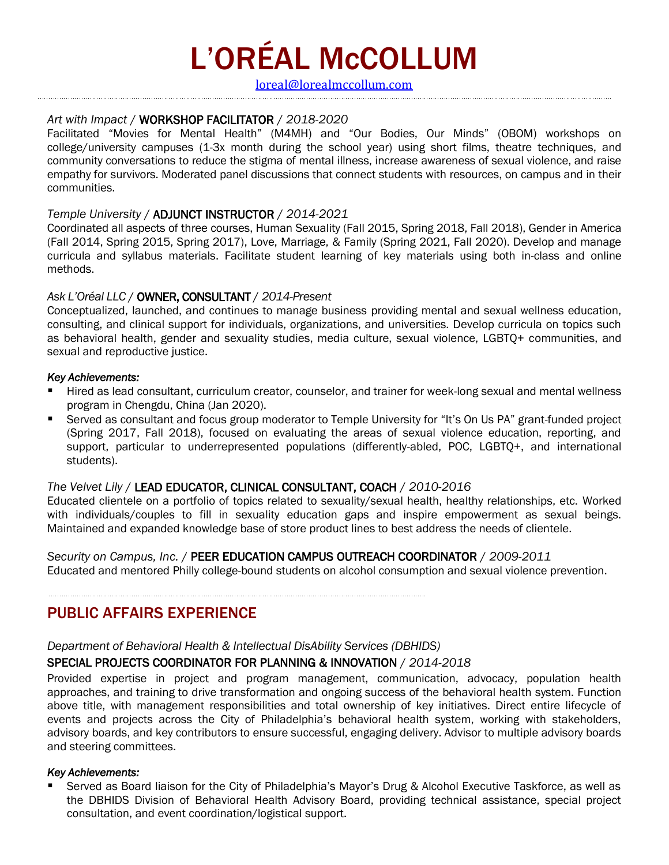# L'ORÉAL McCOLLUM

[loreal@lorealmccollum.com](mailto:loreal@lorealmccollum.com) 

#### *Art with Impact* / WORKSHOP FACILITATOR / *2018-2020*

Facilitated "Movies for Mental Health" (M4MH) and "Our Bodies, Our Minds" (OBOM) workshops on college/university campuses (1-3x month during the school year) using short films, theatre techniques, and community conversations to reduce the stigma of mental illness, increase awareness of sexual violence, and raise empathy for survivors. Moderated panel discussions that connect students with resources, on campus and in their communities.

#### *Temple University* / ADJUNCT INSTRUCTOR / *2014-2021*

Coordinated all aspects of three courses, Human Sexuality (Fall 2015, Spring 2018, Fall 2018), Gender in America (Fall 2014, Spring 2015, Spring 2017), Love, Marriage, & Family (Spring 2021, Fall 2020). Develop and manage curricula and syllabus materials. Facilitate student learning of key materials using both in-class and online methods.

#### *Ask L'Oréal LLC* / OWNER, CONSULTANT / *2014-Present*

Conceptualized, launched, and continues to manage business providing mental and sexual wellness education, consulting, and clinical support for individuals, organizations, and universities. Develop curricula on topics such as behavioral health, gender and sexuality studies, media culture, sexual violence, LGBTQ+ communities, and sexual and reproductive justice.

#### *Key Achievements:*

- Hired as lead consultant, curriculum creator, counselor, and trainer for week-long sexual and mental wellness program in Chengdu, China (Jan 2020).
- Served as consultant and focus group moderator to Temple University for "It's On Us PA" grant-funded project (Spring 2017, Fall 2018), focused on evaluating the areas of sexual violence education, reporting, and support, particular to underrepresented populations (differently-abled, POC, LGBTQ+, and international students).

#### *The Velvet Lily* / LEAD EDUCATOR, CLINICAL CONSULTANT, COACH / *2010-2016*

Educated clientele on a portfolio of topics related to sexuality/sexual health, healthy relationships, etc. Worked with individuals/couples to fill in sexuality education gaps and inspire empowerment as sexual beings. Maintained and expanded knowledge base of store product lines to best address the needs of clientele.

*Security on Campus, Inc.* /PEER EDUCATION CAMPUS OUTREACH COORDINATOR / *2009-2011*  Educated and mentored Philly college-bound students on alcohol consumption and sexual violence prevention.

### PUBLIC AFFAIRS EXPERIENCE

*Department of Behavioral Health & Intellectual DisAbility Services (DBHIDS)*

#### SPECIAL PROJECTS COORDINATOR FOR PLANNING & INNOVATION / *2014-2018*

Provided expertise in project and program management, communication, advocacy, population health approaches, and training to drive transformation and ongoing success of the behavioral health system. Function above title, with management responsibilities and total ownership of key initiatives. Direct entire lifecycle of events and projects across the City of Philadelphia's behavioral health system, working with stakeholders, advisory boards, and key contributors to ensure successful, engaging delivery. Advisor to multiple advisory boards and steering committees.

#### *Key Achievements:*

Served as Board liaison for the City of Philadelphia's Mayor's Drug & Alcohol Executive Taskforce, as well as the DBHIDS Division of Behavioral Health Advisory Board, providing technical assistance, special project consultation, and event coordination/logistical support.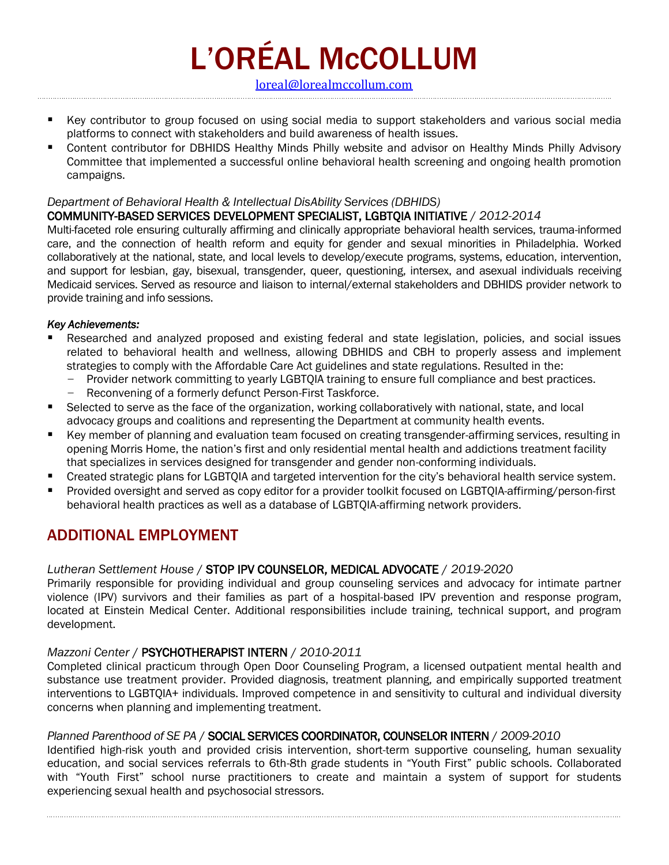L'ORÉAL McCOLLUM

[loreal@lorealmccollum.com](mailto:loreal@lorealmccollum.com) 

- Key contributor to group focused on using social media to support stakeholders and various social media platforms to connect with stakeholders and build awareness of health issues.
- Content contributor for DBHIDS Healthy Minds Philly website and advisor on Healthy Minds Philly Advisory Committee that implemented a successful online behavioral health screening and ongoing health promotion campaigns.

#### *Department of Behavioral Health & Intellectual DisAbility Services (DBHIDS)*

#### COMMUNITY-BASED SERVICES DEVELOPMENT SPECIALIST, LGBTQIA INITIATIVE / *2012-2014*

Multi-faceted role ensuring culturally affirming and clinically appropriate behavioral health services, trauma-informed care, and the connection of health reform and equity for gender and sexual minorities in Philadelphia. Worked collaboratively at the national, state, and local levels to develop/execute programs, systems, education, intervention, and support for lesbian, gay, bisexual, transgender, queer, questioning, intersex, and asexual individuals receiving Medicaid services. Served as resource and liaison to internal/external stakeholders and DBHIDS provider network to provide training and info sessions.

#### *Key Achievements:*

- Researched and analyzed proposed and existing federal and state legislation, policies, and social issues related to behavioral health and wellness, allowing DBHIDS and CBH to properly assess and implement strategies to comply with the Affordable Care Act guidelines and state regulations. Resulted in the:
	- Provider network committing to yearly LGBTQIA training to ensure full compliance and best practices.
	- Reconvening of a formerly defunct Person-First Taskforce.
- Selected to serve as the face of the organization, working collaboratively with national, state, and local advocacy groups and coalitions and representing the Department at community health events.
- Key member of planning and evaluation team focused on creating transgender-affirming services, resulting in opening Morris Home, the nation's first and only residential mental health and addictions treatment facility that specializes in services designed for transgender and gender non-conforming individuals.
- Created strategic plans for LGBTQIA and targeted intervention for the city's behavioral health service system.
- Provided oversight and served as copy editor for a provider toolkit focused on LGBTQIA-affirming/person-first behavioral health practices as well as a database of LGBTQIA-affirming network providers.

## ADDITIONAL EMPLOYMENT

#### *Lutheran Settlement House* / STOP IPV COUNSELOR, MEDICAL ADVOCATE / *2019-2020*

Primarily responsible for providing individual and group counseling services and advocacy for intimate partner violence (IPV) survivors and their families as part of a hospital-based IPV prevention and response program, located at Einstein Medical Center. Additional responsibilities include training, technical support, and program development.

#### *Mazzoni Center* /PSYCHOTHERAPIST INTERN/ *2010-2011*

Completed clinical practicum through Open Door Counseling Program, a licensed outpatient mental health and substance use treatment provider. Provided diagnosis, treatment planning, and empirically supported treatment interventions to LGBTQIA+ individuals. Improved competence in and sensitivity to cultural and individual diversity concerns when planning and implementing treatment.

#### *Planned Parenthood of SE PA* /SOCIAL SERVICES COORDINATOR, COUNSELOR INTERN/ *2009-2010*

Identified high-risk youth and provided crisis intervention, short-term supportive counseling, human sexuality education, and social services referrals to 6th-8th grade students in "Youth First" public schools. Collaborated with "Youth First" school nurse practitioners to create and maintain a system of support for students experiencing sexual health and psychosocial stressors.